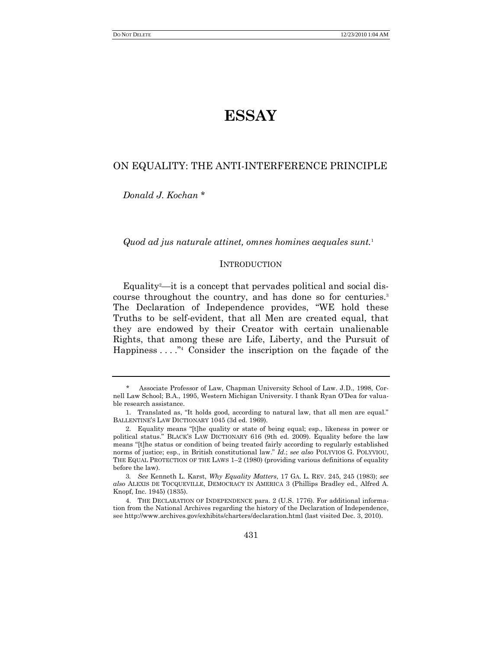# **ESSAY**

# ON EQUALITY: THE ANTI-INTERFERENCE PRINCIPLE

*Donald J. Kochan* \*

*Quod ad jus naturale attinet, omnes homines aequales sunt.*<sup>1</sup>

# **INTRODUCTION**

Equality<sup>2</sup>—it is a concept that pervades political and social discourse throughout the country, and has done so for centuries.<sup>3</sup> The Declaration of Independence provides, "WE hold these Truths to be self-evident, that all Men are created equal, that they are endowed by their Creator with certain unalienable Rights, that among these are Life, Liberty, and the Pursuit of Happiness  $\dots$ ."<sup>4</sup> Consider the inscription on the façade of the

<sup>\*</sup> Associate Professor of Law, Chapman University School of Law. J.D., 1998, Cornell Law School; B.A., 1995, Western Michigan University. I thank Ryan O'Dea for valuable research assistance.

<sup>1.</sup> Translated as, "It holds good, according to natural law, that all men are equal." BALLENTINE'S LAW DICTIONARY 1045 (3d ed. 1969).

<sup>2.</sup> Equality means "[t]he quality or state of being equal; esp., likeness in power or political status.‖ BLACK'S LAW DICTIONARY 616 (9th ed. 2009). Equality before the law means "[t]he status or condition of being treated fairly according to regularly established norms of justice; esp., in British constitutional law.‖ *Id.*; s*ee also* POLYVIOS G. POLYVIOU, THE EQUAL PROTECTION OF THE LAWS 1–2 (1980) (providing various definitions of equality before the law).

<sup>3</sup>*. See* Kenneth L. Karst, *Why Equality Matters*, 17 GA. L. REV. 245, 245 (1983); *see also* ALEXIS DE TOCQUEVILLE, DEMOCRACY IN AMERICA 3 (Phillips Bradley ed., Alfred A. Knopf, Inc. 1945) (1835).

<sup>4.</sup> THE DECLARATION OF INDEPENDENCE para. 2 (U.S. 1776). For additional information from the National Archives regarding the history of the Declaration of Independence, see http://www.archives.gov/exhibits/charters/declaration.html (last visited Dec. 3, 2010).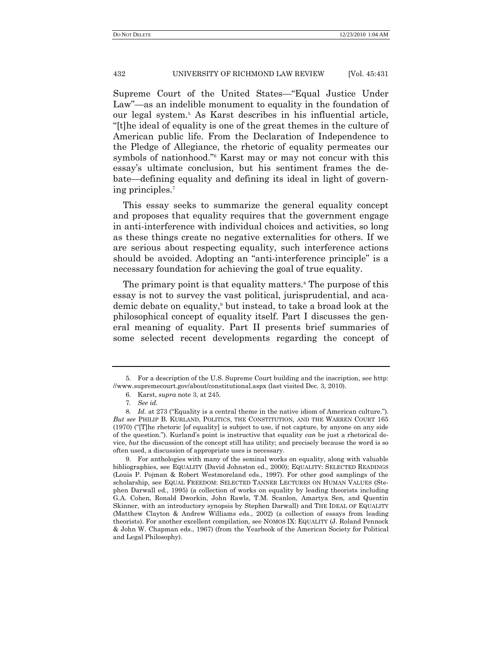Supreme Court of the United States—"Equal Justice Under Law"—as an indelible monument to equality in the foundation of our legal system.<sup>5</sup> As Karst describes in his influential article, ―[t]he ideal of equality is one of the great themes in the culture of American public life. From the Declaration of Independence to the Pledge of Allegiance, the rhetoric of equality permeates our symbols of nationhood." Karst may or may not concur with this essay's ultimate conclusion, but his sentiment frames the debate—defining equality and defining its ideal in light of governing principles.<sup>7</sup>

This essay seeks to summarize the general equality concept and proposes that equality requires that the government engage in anti-interference with individual choices and activities, so long as these things create no negative externalities for others. If we are serious about respecting equality, such interference actions should be avoided. Adopting an "anti-interference principle" is a necessary foundation for achieving the goal of true equality.

The primary point is that equality matters.<sup>8</sup> The purpose of this essay is not to survey the vast political, jurisprudential, and academic debate on equality, <sup>9</sup> but instead, to take a broad look at the philosophical concept of equality itself. Part I discusses the general meaning of equality. Part II presents brief summaries of some selected recent developments regarding the concept of

<sup>5.</sup> For a description of the U.S. Supreme Court building and the inscription, see http: //www.supremecourt.gov/about/constitutional.aspx (last visited Dec. 3, 2010).

<sup>6.</sup> Karst, *supra* note 3, at 245.

<sup>7</sup>*. See id.*

<sup>8.</sup> *Id.* at 273 ("Equality is a central theme in the native idiom of American culture."). *But see* PHILIP B. KURLAND, POLITICS, THE CONSTITUTION, AND THE WARREN COURT 165  $(1970)$  ("[T]he rhetoric [of equality] is subject to use, if not capture, by anyone on any side of the question."). Kurland's point is instructive that equality *can* be just a rhetorical device, *but* the discussion of the concept still has utility; and precisely because the word is so often used, a discussion of appropriate uses is necessary.

<sup>9.</sup> For anthologies with many of the seminal works on equality, along with valuable bibliographies, see EQUALITY (David Johnston ed., 2000); EQUALITY: SELECTED READINGS (Louis P. Pojman & Robert Westmoreland eds., 1997). For other good samplings of the scholarship, see EQUAL FREEDOM: SELECTED TANNER LECTURES ON HUMAN VALUES (Stephen Darwall ed., 1995) (a collection of works on equality by leading theorists including G.A. Cohen, Ronald Dworkin, John Rawls, T.M. Scanlon, Amartya Sen, and Quentin Skinner, with an introductory synopsis by Stephen Darwall) and THE IDEAL OF EQUALITY (Matthew Clayton & Andrew Williams eds., 2002) (a collection of essays from leading theorists). For another excellent compilation, see NOMOS IX: EQUALITY (J. Roland Pennock & John W. Chapman eds., 1967) (from the Yearbook of the American Society for Political and Legal Philosophy).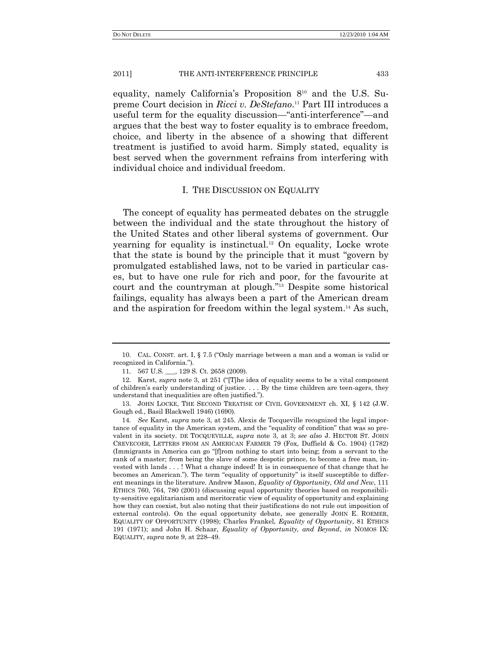equality, namely California's Proposition 8<sup>10</sup> and the U.S. Supreme Court decision in *Ricci v. DeStefano*.<sup>11</sup> Part III introduces a useful term for the equality discussion—"anti-interference"—and argues that the best way to foster equality is to embrace freedom, choice, and liberty in the absence of a showing that different treatment is justified to avoid harm. Simply stated, equality is best served when the government refrains from interfering with individual choice and individual freedom.

### I. THE DISCUSSION ON EQUALITY

The concept of equality has permeated debates on the struggle between the individual and the state throughout the history of the United States and other liberal systems of government. Our yearning for equality is instinctual.<sup>12</sup> On equality, Locke wrote that the state is bound by the principle that it must "govern by" promulgated established laws, not to be varied in particular cases, but to have one rule for rich and poor, for the favourite at court and the countryman at plough."<sup>13</sup> Despite some historical failings, equality has always been a part of the American dream and the aspiration for freedom within the legal system.<sup>14</sup> As such,

<sup>10.</sup> CAL. CONST. art. I,  $\S$  7.5 ("Only marriage between a man and a woman is valid or recognized in California.").

<sup>11.</sup> 567 U.S. \_\_\_, 129 S. Ct. 2658 (2009).

<sup>12.</sup> Karst, *supra* note 3, at 251 ("The idea of equality seems to be a vital component of children's early understanding of justice. . . . By the time children are teen-agers, they understand that inequalities are often justified.‖).

<sup>13.</sup> JOHN LOCKE, THE SECOND TREATISE OF CIVIL GOVERNMENT ch. XI, § 142 (J.W. Gough ed., Basil Blackwell 1946) (1690).

<sup>14</sup>*. See* Karst, *supra* note 3, at 245. Alexis de Tocqueville recognized the legal importance of equality in the American system, and the "equality of condition" that was so prevalent in its society. DE TOCQUEVILLE, *supra* note 3, at 3; *see also* J. HECTOR ST. JOHN CREVECOER, LETTERS FROM AN AMERICAN FARMER 79 (Fox, Duffield & Co. 1904) (1782) (Immigrants in America can go "[f]rom nothing to start into being; from a servant to the rank of a master; from being the slave of some despotic prince, to become a free man, invested with lands . . . ! What a change indeed! It is in consequence of that change that he becomes an American."). The term "equality of opportunity" is itself susceptible to different meanings in the literature. Andrew Mason, *Equality of Opportunity, Old and New*, 111 ETHICS 760, 764, 780 (2001) (discussing equal opportunity theories based on responsibility-sensitive egalitarianism and meritocratic view of equality of opportunity and explaining how they can coexist, but also noting that their justifications do not rule out imposition of external controls). On the equal opportunity debate, see generally JOHN E. ROEMER, EQUALITY OF OPPORTUNITY (1998); Charles Frankel, *Equality of Opportunity*, 81 ETHICS 191 (1971); and John H. Schaar, *Equality of Opportunity, and Beyond*, *in* NOMOS IX: EQUALITY, *supra* note 9, at 228–49.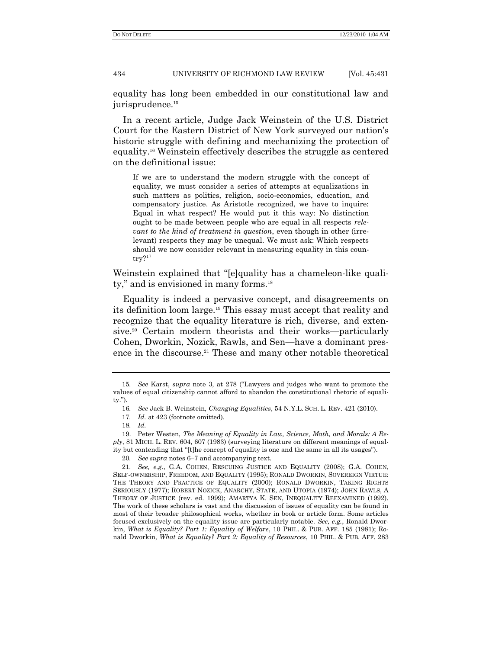equality has long been embedded in our constitutional law and jurisprudence.<sup>15</sup>

In a recent article, Judge Jack Weinstein of the U.S. District Court for the Eastern District of New York surveyed our nation's historic struggle with defining and mechanizing the protection of equality.<sup>16</sup> Weinstein effectively describes the struggle as centered on the definitional issue:

If we are to understand the modern struggle with the concept of equality, we must consider a series of attempts at equalizations in such matters as politics, religion, socio-economics, education, and compensatory justice. As Aristotle recognized, we have to inquire: Equal in what respect? He would put it this way: No distinction ought to be made between people who are equal in all respects *relevant to the kind of treatment in question*, even though in other (irrelevant) respects they may be unequal. We must ask: Which respects should we now consider relevant in measuring equality in this country?<sup>17</sup>

Weinstein explained that "[e]quality has a chameleon-like quality," and is envisioned in many forms.<sup>18</sup>

Equality is indeed a pervasive concept, and disagreements on its definition loom large.<sup>19</sup> This essay must accept that reality and recognize that the equality literature is rich, diverse, and extensive.<sup>20</sup> Certain modern theorists and their works—particularly Cohen, Dworkin, Nozick, Rawls, and Sen—have a dominant presence in the discourse.<sup>21</sup> These and many other notable theoretical

<sup>15</sup>*. See Karst, supra* note 3, at 278 ("Lawyers and judges who want to promote the values of equal citizenship cannot afford to abandon the constitutional rhetoric of equali $tv$ ).

<sup>16</sup>*. See* Jack B. Weinstein, *Changing Equalities*, 54 N.Y.L. SCH. L. REV. 421 (2010).

<sup>17</sup>*. Id.* at 423 (footnote omitted).

<sup>18</sup>*. Id.*

<sup>19.</sup> Peter Westen, *The Meaning of Equality in Law, Science, Math, and Morals: A Reply*, 81 MICH. L. REV. 604, 607 (1983) (surveying literature on different meanings of equality but contending that "[t]he concept of equality is one and the same in all its usages").

<sup>20</sup>*. See supra* notes 6–7 and accompanying text.

<sup>21</sup>*. See, e.g.*, G.A. COHEN, RESCUING JUSTICE AND EQUALITY (2008); G.A. COHEN, SELF-OWNERSHIP, FREEDOM, AND EQUALITY (1995); RONALD DWORKIN, SOVEREIGN VIRTUE: THE THEORY AND PRACTICE OF EQUALITY (2000); RONALD DWORKIN, TAKING RIGHTS SERIOUSLY (1977); ROBERT NOZICK, ANARCHY, STATE, AND UTOPIA (1974); JOHN RAWLS, A THEORY OF JUSTICE (rev. ed. 1999); AMARTYA K. SEN, INEQUALITY REEXAMINED (1992). The work of these scholars is vast and the discussion of issues of equality can be found in most of their broader philosophical works, whether in book or article form. Some articles focused exclusively on the equality issue are particularly notable. *See, e.g.*, Ronald Dworkin, *What is Equality? Part 1: Equality of Welfare*, 10 PHIL. & PUB. AFF. 185 (1981); Ronald Dworkin, *What is Equality? Part 2: Equality of Resources*, 10 PHIL. & PUB. AFF. 283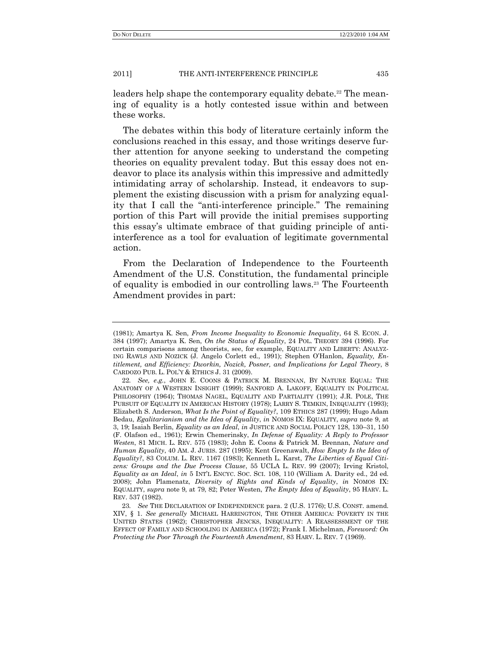leaders help shape the contemporary equality debate.<sup>22</sup> The meaning of equality is a hotly contested issue within and between these works.

The debates within this body of literature certainly inform the conclusions reached in this essay, and those writings deserve further attention for anyone seeking to understand the competing theories on equality prevalent today. But this essay does not endeavor to place its analysis within this impressive and admittedly intimidating array of scholarship. Instead, it endeavors to supplement the existing discussion with a prism for analyzing equality that I call the "anti-interference principle." The remaining portion of this Part will provide the initial premises supporting this essay's ultimate embrace of that guiding principle of antiinterference as a tool for evaluation of legitimate governmental action.

From the Declaration of Independence to the Fourteenth Amendment of the U.S. Constitution, the fundamental principle of equality is embodied in our controlling laws.<sup>23</sup> The Fourteenth Amendment provides in part:

<sup>(1981);</sup> Amartya K. Sen, *From Income Inequality to Economic Inequality*, 64 S. ECON. J. 384 (1997); Amartya K. Sen, *On the Status of Equality*, 24 POL. THEORY 394 (1996). For certain comparisons among theorists, see, for example, EQUALITY AND LIBERTY: ANALYZ-ING RAWLS AND NOZICK (J. Angelo Corlett ed., 1991); Stephen O'Hanlon, *Equality, Entitlement, and Efficiency: Dworkin, Nozick, Posner, and Implications for Legal Theory*, 8 CARDOZO PUB. L. POL'Y & ETHICS J. 31 (2009).

<sup>22</sup>*. See, e.g.*, JOHN E. COONS & PATRICK M. BRENNAN, BY NATURE EQUAL: THE ANATOMY OF A WESTERN INSIGHT (1999); SANFORD A. LAKOFF, EQUALITY IN POLITICAL PHILOSOPHY (1964); THOMAS NAGEL, EQUALITY AND PARTIALITY (1991); J.R. POLE, THE PURSUIT OF EQUALITY IN AMERICAN HISTORY (1978); LARRY S. TEMKIN, INEQUALITY (1993); Elizabeth S. Anderson, *What Is the Point of Equality?*, 109 ETHICS 287 (1999); Hugo Adam Bedau, *Egalitarianism and the Idea of Equality*, *in* NOMOS IX: EQUALITY, *supra* note 9, at 3, 19; Isaiah Berlin, *Equality as an Ideal*, *in* JUSTICE AND SOCIAL POLICY 128, 130–31, 150 (F. Olafson ed., 1961); Erwin Chemerinsky, *In Defense of Equality: A Reply to Professor Westen*, 81 MICH. L. REV. 575 (1983); John E. Coons & Patrick M. Brennan, *Nature and Human Equality*, 40 AM. J. JURIS. 287 (1995); Kent Greenawalt, *How Empty Is the Idea of Equality?*, 83 COLUM. L. REV. 1167 (1983); Kenneth L. Karst, *The Liberties of Equal Citizens: Groups and the Due Process Clause*, 55 UCLA L. REV. 99 (2007); Irving Kristol, *Equality as an Ideal*, *in* 5 INT'L ENCYC. SOC. SCI. 108, 110 (William A. Darity ed., 2d ed. 2008); John Plamenatz, *Diversity of Rights and Kinds of Equality*, *in* NOMOS IX: EQUALITY, *supra* note 9, at 79, 82; Peter Westen, *The Empty Idea of Equality*, 95 HARV. L. REV. 537 (1982).

<sup>23</sup>*. See* THE DECLARATION OF INDEPENDENCE para. 2 (U.S. 1776); U.S. CONST. amend. XIV, § 1. *See generally* MICHAEL HARRINGTON, THE OTHER AMERICA: POVERTY IN THE UNITED STATES (1962); CHRISTOPHER JENCKS, INEQUALITY: A REASSESSMENT OF THE EFFECT OF FAMILY AND SCHOOLING IN AMERICA (1972); Frank I. Michelman, *Foreword: On Protecting the Poor Through the Fourteenth Amendment*, 83 HARV. L. REV. 7 (1969).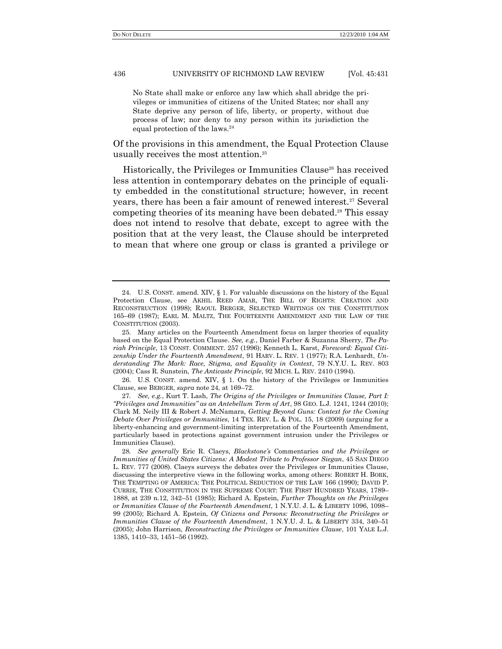No State shall make or enforce any law which shall abridge the privileges or immunities of citizens of the United States; nor shall any State deprive any person of life, liberty, or property, without due process of law; nor deny to any person within its jurisdiction the equal protection of the laws. 24

Of the provisions in this amendment, the Equal Protection Clause usually receives the most attention.<sup>25</sup>

Historically, the Privileges or Immunities Clause<sup>26</sup> has received less attention in contemporary debates on the principle of equality embedded in the constitutional structure; however, in recent years, there has been a fair amount of renewed interest.<sup>27</sup> Several competing theories of its meaning have been debated.<sup>28</sup> This essay does not intend to resolve that debate, except to agree with the position that at the very least, the Clause should be interpreted to mean that where one group or class is granted a privilege or

<sup>24.</sup> U.S. CONST. amend. XIV, § 1. For valuable discussions on the history of the Equal Protection Clause, see AKHIL REED AMAR, THE BILL OF RIGHTS: CREATION AND RECONSTRUCTION (1998); RAOUL BERGER, SELECTED WRITINGS ON THE CONSTITUTION 165–69 (1987); EARL M. MALTZ, THE FOURTEENTH AMENDMENT AND THE LAW OF THE CONSTITUTION (2003).

<sup>25.</sup> Many articles on the Fourteenth Amendment focus on larger theories of equality based on the Equal Protection Clause. *See, e.g.*, Daniel Farber & Suzanna Sherry, *The Pariah Principle*, 13 CONST. COMMENT. 257 (1996); Kenneth L. Karst, *Foreword: Equal Citizenship Under the Fourteenth Amendment*, 91 HARV. L. REV. 1 (1977); R.A. Lenhardt, *Understanding The Mark: Race, Stigma, and Equality in Context*, 79 N.Y.U. L. REV. 803 (2004); Cass R. Sunstein, *The Anticaste Principle*, 92 MICH. L. REV. 2410 (1994).

<sup>26.</sup> U.S. CONST. amend. XIV, § 1. On the history of the Privileges or Immunities Clause, see BERGER, *supra* note 24, at 169–72.

<sup>27</sup>*. See, e.g.*, Kurt T. Lash, *The Origins of the Privileges or Immunities Clause, Part I: "Privileges and Immunities" as an Antebellum Term of Art*, 98 GEO. L.J. 1241, 1244 (2010); Clark M. Neily III & Robert J. McNamara, *Getting Beyond Guns: Context for the Coming Debate Over Privileges or Immunities*, 14 TEX. REV. L. & POL. 15, 18 (2009) (arguing for a liberty-enhancing and government-limiting interpretation of the Fourteenth Amendment, particularly based in protections against government intrusion under the Privileges or Immunities Clause).

<sup>28</sup>*. See generally* Eric R. Claeys, *Blackstone's* Commentaries *and the Privileges or Immunities of United States Citizens: A Modest Tribute to Professor Siegan*, 45 SAN DIEGO L. REV. 777 (2008). Claeys surveys the debates over the Privileges or Immunities Clause, discussing the interpretive views in the following works, among others: ROBERT H. BORK, THE TEMPTING OF AMERICA: THE POLITICAL SEDUCTION OF THE LAW 166 (1990); DAVID P. CURRIE, THE CONSTITUTION IN THE SUPREME COURT: THE FIRST HUNDRED YEARS, 1789– 1888, at 239 n.12, 342–51 (1985); Richard A. Epstein, *Further Thoughts on the Privileges or Immunities Clause of the Fourteenth Amendment*, 1 N.Y.U. J. L. & LIBERTY 1096, 1098– 99 (2005); Richard A. Epstein, *Of Citizens and Persons: Reconstructing the Privileges or Immunities Clause of the Fourteenth Amendment*, 1 N.Y.U. J. L. & LIBERTY 334, 340–51 (2005); John Harrison, *Reconstructing the Privileges or Immunities Clause*, 101 YALE L.J. 1385, 1410–33, 1451–56 (1992).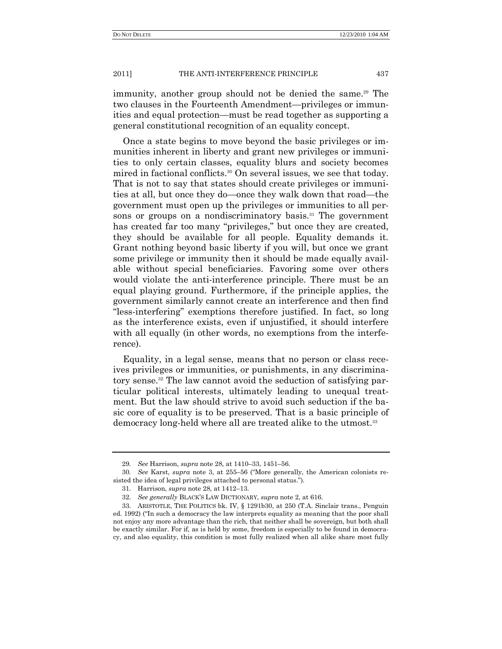immunity, another group should not be denied the same.<sup>29</sup> The two clauses in the Fourteenth Amendment—privileges or immunities and equal protection—must be read together as supporting a general constitutional recognition of an equality concept.

Once a state begins to move beyond the basic privileges or immunities inherent in liberty and grant new privileges or immunities to only certain classes, equality blurs and society becomes mired in factional conflicts.<sup>30</sup> On several issues, we see that today. That is not to say that states should create privileges or immunities at all, but once they do—once they walk down that road—the government must open up the privileges or immunities to all persons or groups on a nondiscriminatory basis.<sup>31</sup> The government has created far too many "privileges," but once they are created, they should be available for all people. Equality demands it. Grant nothing beyond basic liberty if you will, but once we grant some privilege or immunity then it should be made equally available without special beneficiaries. Favoring some over others would violate the anti-interference principle. There must be an equal playing ground. Furthermore, if the principle applies, the government similarly cannot create an interference and then find "less-interfering" exemptions therefore justified. In fact, so long as the interference exists, even if unjustified, it should interfere with all equally (in other words, no exemptions from the interference).

Equality, in a legal sense, means that no person or class receives privileges or immunities, or punishments, in any discriminatory sense.<sup>32</sup> The law cannot avoid the seduction of satisfying particular political interests, ultimately leading to unequal treatment. But the law should strive to avoid such seduction if the basic core of equality is to be preserved. That is a basic principle of democracy long-held where all are treated alike to the utmost.<sup>33</sup>

<sup>29</sup>*. See* Harrison, *supra* note 28, at 1410–33, 1451–56.

<sup>30.</sup> *See Karst, <i>supra* note 3, at 255–56 ("More generally, the American colonists resisted the idea of legal privileges attached to personal status.").

<sup>31.</sup> Harrison, *supra* note 28, at 1412–13.

<sup>32.</sup> *See generally* BLACK'S LAW DICTIONARY, *supra* note 2, at 616.

<sup>33.</sup> ARISTOTLE, THE POLITICS bk. IV, § 1291b30, at 250 (T.A. Sinclair trans., Penguin ed. 1992) ("In such a democracy the law interprets equality as meaning that the poor shall not enjoy any more advantage than the rich, that neither shall be sovereign, but both shall be exactly similar. For if, as is held by some, freedom is especially to be found in democracy, and also equality, this condition is most fully realized when all alike share most fully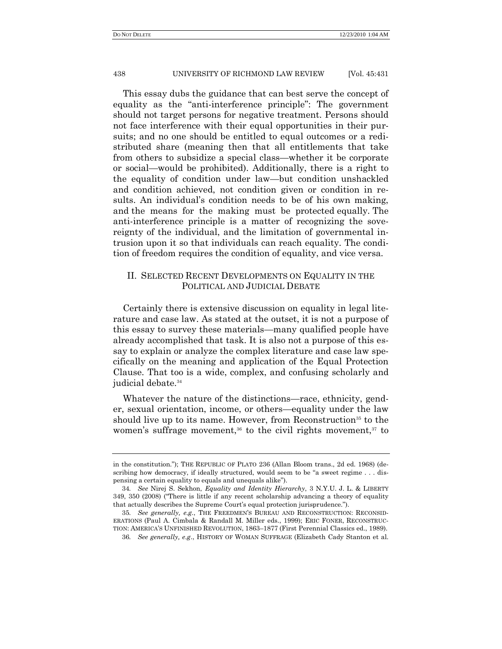This essay dubs the guidance that can best serve the concept of equality as the "anti-interference principle": The government should not target persons for negative treatment. Persons should not face interference with their equal opportunities in their pursuits; and no one should be entitled to equal outcomes or a redistributed share (meaning then that all entitlements that take from others to subsidize a special class—whether it be corporate or social—would be prohibited). Additionally, there is a right to the equality of condition under law—but condition unshackled and condition achieved, not condition given or condition in results. An individual's condition needs to be of his own making, and the means for the making must be protected equally. The anti-interference principle is a matter of recognizing the sovereignty of the individual, and the limitation of governmental intrusion upon it so that individuals can reach equality. The condition of freedom requires the condition of equality, and vice versa.

# II. SELECTED RECENT DEVELOPMENTS ON EQUALITY IN THE POLITICAL AND JUDICIAL DEBATE

Certainly there is extensive discussion on equality in legal literature and case law. As stated at the outset, it is not a purpose of this essay to survey these materials—many qualified people have already accomplished that task. It is also not a purpose of this essay to explain or analyze the complex literature and case law specifically on the meaning and application of the Equal Protection Clause. That too is a wide, complex, and confusing scholarly and judicial debate.<sup>34</sup>

Whatever the nature of the distinctions—race, ethnicity, gender, sexual orientation, income, or others—equality under the law should live up to its name. However, from Reconstruction<sup>35</sup> to the women's suffrage movement,<sup>36</sup> to the civil rights movement,<sup>37</sup> to

in the constitution."); THE REPUBLIC OF PLATO 236 (Allan Bloom trans., 2d ed. 1968) (describing how democracy, if ideally structured, would seem to be "a sweet regime . . . dispensing a certain equality to equals and unequals alike‖).

<sup>34</sup>*. See* Nirej S. Sekhon, *Equality and Identity Hierarchy*, 3 N.Y.U. J. L. & LIBERTY 349, 350 (2008) ("There is little if any recent scholarship advancing a theory of equality that actually describes the Supreme Court's equal protection jurisprudence.").

<sup>35</sup>*. See generally, e.g.*, THE FREEDMEN'S BUREAU AND RECONSTRUCTION: RECONSID-ERATIONS (Paul A. Cimbala & Randall M. Miller eds., 1999); ERIC FONER, RECONSTRUC-TION: AMERICA'S UNFINISHED REVOLUTION, 1863–1877 (First Perennial Classics ed., 1989).

<sup>36</sup>*. See generally, e.g*., HISTORY OF WOMAN SUFFRAGE (Elizabeth Cady Stanton et al.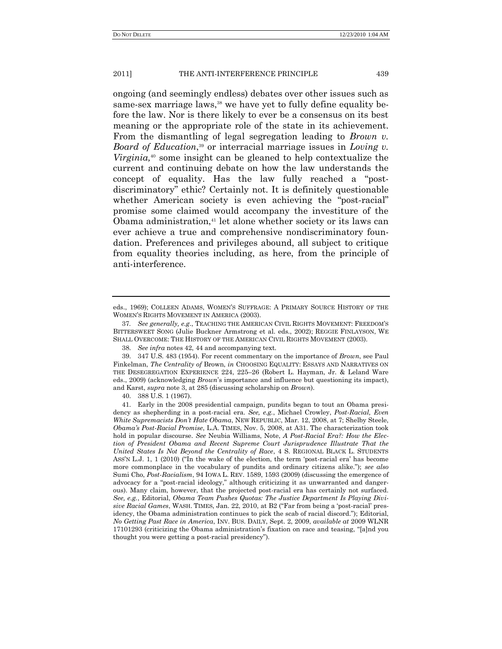ongoing (and seemingly endless) debates over other issues such as same-sex marriage laws,<sup>38</sup> we have yet to fully define equality before the law. Nor is there likely to ever be a consensus on its best meaning or the appropriate role of the state in its achievement. From the dismantling of legal segregation leading to *Brown v. Board of Education*, <sup>39</sup> or interracial marriage issues in *Loving v. Virginia,*<sup>40</sup> some insight can be gleaned to help contextualize the current and continuing debate on how the law understands the concept of equality. Has the law fully reached a "postdiscriminatory" ethic? Certainly not. It is definitely questionable whether American society is even achieving the "post-racial" promise some claimed would accompany the investiture of the Obama administration,<sup>41</sup> let alone whether society or its laws can ever achieve a true and comprehensive nondiscriminatory foundation. Preferences and privileges abound, all subject to critique from equality theories including, as here, from the principle of anti-interference.

eds., 1969); COLLEEN ADAMS, WOMEN'S SUFFRAGE: A PRIMARY SOURCE HISTORY OF THE WOMEN'S RIGHTS MOVEMENT IN AMERICA (2003).

<sup>37</sup>*. See generally, e.g*., TEACHING THE AMERICAN CIVIL RIGHTS MOVEMENT: FREEDOM'S BITTERSWEET SONG (Julie Buckner Armstrong et al. eds., 2002); REGGIE FINLAYSON, WE SHALL OVERCOME: THE HISTORY OF THE AMERICAN CIVIL RIGHTS MOVEMENT (2003).

<sup>38.</sup> *See infra* notes 42, 44 and accompanying text.

<sup>39.</sup> 347 U.S. 483 (1954). For recent commentary on the importance of *Brown*, see Paul Finkelman, *The Centrality of* Brown, *in* CHOOSING EQUALITY: ESSAYS AND NARRATIVES ON THE DESEGREGATION EXPERIENCE 224, 225–26 (Robert L. Hayman, Jr. & Leland Ware eds., 2009) (acknowledging *Brown*'s importance and influence but questioning its impact), and Karst, *supra* note 3, at 285 (discussing scholarship on *Brown*).

<sup>40.</sup> 388 U.S. 1 (1967).

<sup>41.</sup> Early in the 2008 presidential campaign, pundits began to tout an Obama presidency as shepherding in a post-racial era. *See, e.g.*, Michael Crowley, *Post-Racial, Even White Supremacists Don't Hate Obama*, NEW REPUBLIC, Mar. 12, 2008, at 7; Shelby Steele, *Obama's Post-Racial Promise*, L.A. TIMES, Nov. 5, 2008, at A31. The characterization took hold in popular discourse. *See* Neubia Williams, Note, *A Post-Racial Era?: How the Election of President Obama and Recent Supreme Court Jurisprudence Illustrate That the United States Is Not Beyond the Centrality of Race*, 4 S. REGIONAL BLACK L. STUDENTS ASS'N L.J. 1, 1  $(2010)$  ("In the wake of the election, the term 'post-racial era' has become more commonplace in the vocabulary of pundits and ordinary citizens alike.‖); *see also* Sumi Cho, *Post-Racialism*, 94 IOWA L. REV. 1589, 1593 (2009) (discussing the emergence of advocacy for a "post-racial ideology," although criticizing it as unwarranted and dangerous). Many claim, however, that the projected post-racial era has certainly not surfaced. *See, e.g.*, Editorial, *Obama Team Pushes Quotas: The Justice Department Is Playing Divisive Racial Games*, WASH. TIMES, Jan. 22, 2010, at B2 ("Far from being a 'post-racial' presidency, the Obama administration continues to pick the scab of racial discord."); Editorial, *No Getting Past Race in America*, INV. BUS. DAILY, Sept. 2, 2009, *available at* 2009 WLNR 17101293 (criticizing the Obama administration's fixation on race and teasing, "[a]nd you thought you were getting a post-racial presidency‖).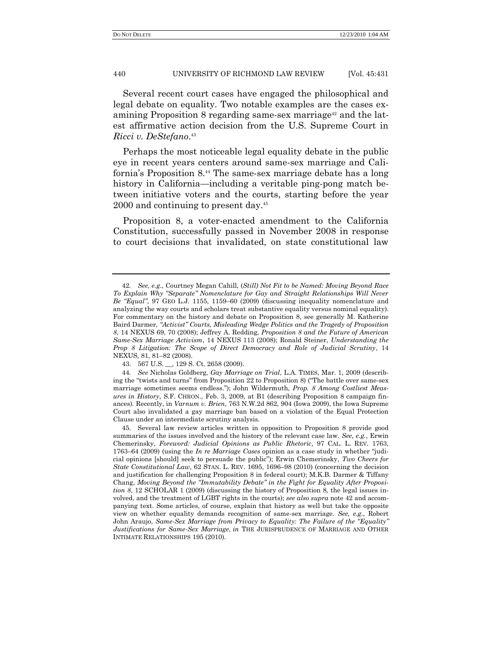Several recent court cases have engaged the philosophical and legal debate on equality. Two notable examples are the cases examining Proposition 8 regarding same-sex marriage<sup>42</sup> and the latest affirmative action decision from the U.S. Supreme Court in *Ricci v. DeStefano*. 43

Perhaps the most noticeable legal equality debate in the public eye in recent years centers around same-sex marriage and California's Proposition 8.<sup>44</sup> The same-sex marriage debate has a long history in California—including a veritable ping-pong match between initiative voters and the courts, starting before the year 2000 and continuing to present day.<sup>45</sup>

Proposition 8, a voter-enacted amendment to the California Constitution, successfully passed in November 2008 in response to court decisions that invalidated, on state constitutional law

<sup>42</sup>*. See, e.g*., Courtney Megan Cahill, (*Still) Not Fit to be Named: Moving Beyond Race To Explain Why "Separate" Nomenclature for Gay and Straight Relationships Will Never Be "Equal"*, 97 GEO L.J. 1155, 1159–60 (2009) (discussing inequality nomenclature and analyzing the way courts and scholars treat substantive equality versus nominal equality). For commentary on the history and debate on Proposition 8, see generally M. Katherine Baird Darmer, *"Activist" Courts, Misleading Wedge Politics and the Tragedy of Proposition 8*, 14 NEXUS 69, 70 (2008); Jeffrey A. Redding, *Proposition 8 and the Future of American Same-Sex Marriage Activism*, 14 NEXUS 113 (2008); Ronald Steiner, *Understanding the Prop 8 Litigation: The Scope of Direct Democracy and Role of Judicial Scrutiny*, 14 NEXUS, 81, 81–82 (2008).

<sup>43.</sup> 567 U.S. \_\_, 129 S. Ct. 2658 (2009).

<sup>44</sup>*. See* Nicholas Goldberg, *Gay Marriage on Trial*, L.A. TIMES, Mar. 1, 2009 (describing the "twists and turns" from Proposition 22 to Proposition 8) ("The battle over same-sex marriage sometimes seems endless.‖); John Wildermuth, *Prop. 8 Among Costliest Measures in History*, S.F. CHRON., Feb. 3, 2009, at B1 (describing Proposition 8 campaign finances). Recently, in *Varnum v. Brien*, 763 N.W.2d 862, 904 (Iowa 2009), the Iowa Supreme Court also invalidated a gay marriage ban based on a violation of the Equal Protection Clause under an intermediate scrutiny analysis.

<sup>45.</sup> Several law review articles written in opposition to Proposition 8 provide good summaries of the issues involved and the history of the relevant case law. *See, e.g.*, Erwin Chemerinsky, *Foreword: Judicial Opinions as Public Rhetoric*, 97 CAL. L. REV. 1763, 1763–64 (2009) (using the *In re Marriage Cases* opinion as a case study in whether "judicial opinions [should] seek to persuade the public‖); Erwin Chemerinsky, *Two Cheers for State Constitutional Law*, 62 STAN. L. REV. 1695, 1696–98 (2010) (concerning the decision and justification for challenging Proposition 8 in federal court); M.K.B. Darmer & Tiffany Chang, *Moving Beyond the "Immutability Debate" in the Fight for Equality After Proposition 8*, 12 SCHOLAR 1 (2009) (discussing the history of Proposition 8, the legal issues involved, and the treatment of LGBT rights in the courts); *see also supra* note 42 and accompanying text. Some articles, of course, explain that history as well but take the opposite view on whether equality demands recognition of same-sex marriage. *See, e.g.*, Robert John Araujo, *Same-Sex Marriage from Privacy to Equality: The Failure of the "Equality" Justifications for Same-Sex Marriage*, *in* THE JURISPRUDENCE OF MARRIAGE AND OTHER INTIMATE RELATIONSHIPS 195 (2010).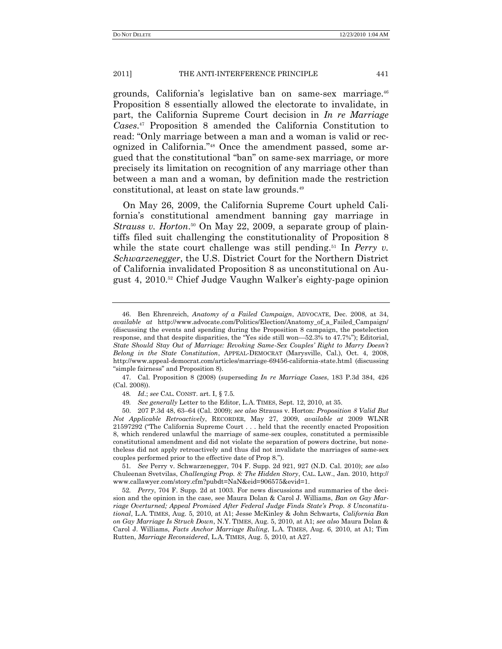grounds, California's legislative ban on same-sex marriage.<sup>46</sup> Proposition 8 essentially allowed the electorate to invalidate, in part, the California Supreme Court decision in *In re Marriage Cases*. <sup>47</sup> Proposition 8 amended the California Constitution to read: "Only marriage between a man and a woman is valid or recognized in California."<sup>48</sup> Once the amendment passed, some argued that the constitutional "ban" on same-sex marriage, or more precisely its limitation on recognition of any marriage other than between a man and a woman, by definition made the restriction constitutional, at least on state law grounds.<sup>49</sup>

On May 26, 2009, the California Supreme Court upheld California's constitutional amendment banning gay marriage in *Strauss v. Horton*<sup>50</sup> On May 22, 2009, a separate group of plaintiffs filed suit challenging the constitutionality of Proposition 8 while the state court challenge was still pending.<sup>51</sup> In *Perry v. Schwarzenegger*, the U.S. District Court for the Northern District of California invalidated Proposition 8 as unconstitutional on August 4, 2010.<sup>52</sup> Chief Judge Vaughn Walker's eighty-page opinion

47. Cal. Proposition 8 (2008) (superseding *In re Marriage Cases*, 183 P.3d 384, 426 (Cal. 2008)).

48*. Id*.; *see* CAL. CONST. art. I, § 7.5.

49*. See generally* Letter to the Editor, L.A. TIMES, Sept. 12, 2010, at 35.

50. 207 P.3d 48, 63–64 (Cal. 2009); *see also* Strauss v. Horton: *Proposition 8 Valid But Not Applicable Retroactively*, RECORDER, May 27, 2009, *available at* 2009 WLNR 21597292 ("The California Supreme Court . . . held that the recently enacted Proposition 8, which rendered unlawful the marriage of same-sex couples, constituted a permissible constitutional amendment and did not violate the separation of powers doctrine, but nonetheless did not apply retroactively and thus did not invalidate the marriages of same-sex couples performed prior to the effective date of Prop 8.").

51*. See* Perry v. Schwarzenegger, 704 F. Supp. 2d 921, 927 (N.D. Cal. 2010); *see also* Chuleenan Svetvilas, *Challenging Prop. 8: The Hidden Story*, CAL. LAW., Jan. 2010, http:// www.callawyer.com/story.cfm?pubdt=NaN&eid=906575&evid=1.

52*. Perry*, 704 F. Supp. 2d at 1003. For news discussions and summaries of the decision and the opinion in the case, see Maura Dolan & Carol J. Williams, *Ban on Gay Marriage Overturned; Appeal Promised After Federal Judge Finds State's Prop. 8 Unconstitutional*, L.A. TIMES, Aug. 5, 2010, at A1; Jesse McKinley & John Schwarts, *California Ban on Gay Marriage Is Struck Down*, N.Y. TIMES, Aug. 5, 2010, at A1; *see also* Maura Dolan & Carol J. Williams, *Facts Anchor Marriage Ruling*, L.A. TIMES, Aug. 6, 2010, at A1; Tim Rutten, *Marriage Reconsidered*, L.A. TIMES, Aug. 5, 2010, at A27.

<sup>46.</sup> Ben Ehrenreich, *Anatomy of a Failed Campaign*, ADVOCATE, Dec. 2008, at 34, *available at* http://www.advocate.com/Politics/Election/Anatomy\_of\_a\_Failed\_Campaign/ (discussing the events and spending during the Proposition 8 campaign, the postelection response, and that despite disparities, the "Yes side still won—52.3% to 47.7%"); Editorial, *State Should Stay Out of Marriage: Revoking Same-Sex Couples' Right to Marry Doesn't Belong in the State Constitution*, APPEAL-DEMOCRAT (Marysville, Cal.), Oct. 4, 2008, http://www.appeal-democrat.com/articles/marriage-69456-california-state.html (discussing ―simple fairness‖ and Proposition 8).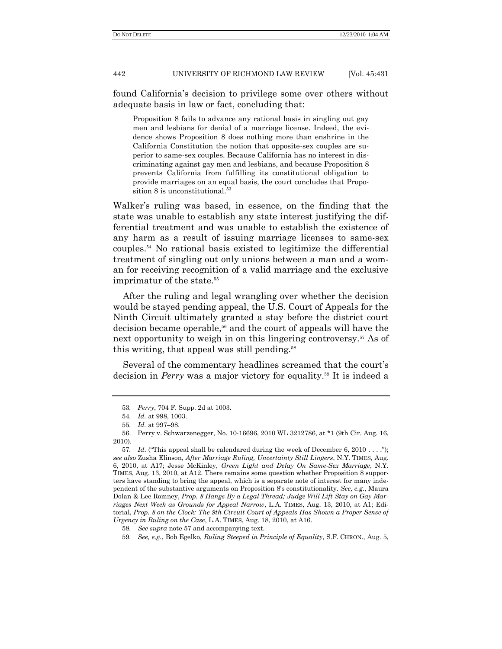found California's decision to privilege some over others without adequate basis in law or fact, concluding that:

Proposition 8 fails to advance any rational basis in singling out gay men and lesbians for denial of a marriage license. Indeed, the evidence shows Proposition 8 does nothing more than enshrine in the California Constitution the notion that opposite-sex couples are superior to same-sex couples. Because California has no interest in discriminating against gay men and lesbians, and because Proposition 8 prevents California from fulfilling its constitutional obligation to provide marriages on an equal basis, the court concludes that Proposition 8 is unconstitutional.<sup>53</sup>

Walker's ruling was based, in essence, on the finding that the state was unable to establish any state interest justifying the differential treatment and was unable to establish the existence of any harm as a result of issuing marriage licenses to same-sex couples.<sup>54</sup> No rational basis existed to legitimize the differential treatment of singling out only unions between a man and a woman for receiving recognition of a valid marriage and the exclusive imprimatur of the state.<sup>55</sup>

After the ruling and legal wrangling over whether the decision would be stayed pending appeal, the U.S. Court of Appeals for the Ninth Circuit ultimately granted a stay before the district court decision became operable,<sup>56</sup> and the court of appeals will have the next opportunity to weigh in on this lingering controversy.<sup>57</sup> As of this writing, that appeal was still pending.<sup>58</sup>

Several of the commentary headlines screamed that the court's decision in *Perry* was a major victory for equality.<sup>59</sup> It is indeed a

<sup>53</sup>*. Perry*, 704 F. Supp. 2d at 1003.

<sup>54</sup>*. Id.* at 998, 1003.

<sup>55</sup>*. Id.* at 997–98.

<sup>56.</sup> Perry v. Schwarzenegger, No. 10-16696, 2010 WL 3212786, at \*1 (9th Cir. Aug. 16, 2010).

<sup>57.</sup> *Id.* ("This appeal shall be calendared during the week of December 6, 2010 . . . ."); *see also* Zusha Elinson, *After Marriage Ruling, Uncertainty Still Lingers*, N.Y. TIMES, Aug. 6, 2010, at A17; Jesse McKinley, *Green Light and Delay On Same-Sex Marriage*, N.Y. TIMES, Aug. 13, 2010, at A12. There remains some question whether Proposition 8 supporters have standing to bring the appeal, which is a separate note of interest for many independent of the substantive arguments on Proposition 8's constitutionality. *See, e.g.*, Maura Dolan & Lee Romney, *Prop. 8 Hangs By a Legal Thread; Judge Will Lift Stay on Gay Marriages Next Week as Grounds for Appeal Narrow*, L.A. TIMES, Aug. 13, 2010, at A1; Editorial, *Prop. 8 on the Clock: The 9th Circuit Court of Appeals Has Shown a Proper Sense of Urgency in Ruling on the Case*, L.A. TIMES, Aug. 18, 2010, at A16.

<sup>58</sup>*. See supra* note 57 and accompanying text.

<sup>59</sup>*. See, e.g.*, Bob Egelko, *Ruling Steeped in Principle of Equality*, S.F. CHRON., Aug. 5,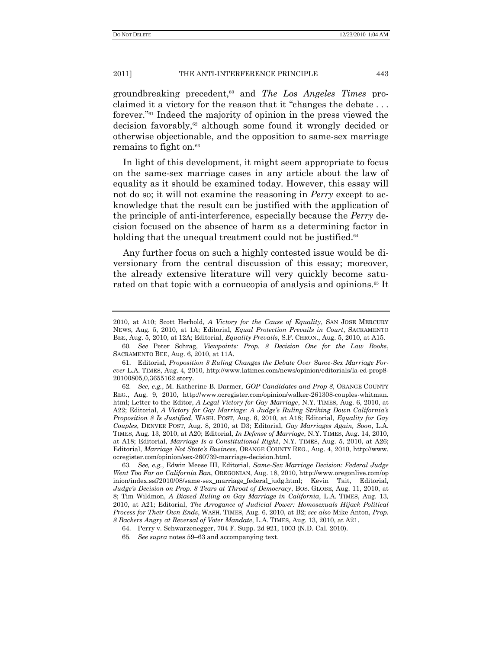groundbreaking precedent,<sup>60</sup> and *The Los Angeles Times* proclaimed it a victory for the reason that it "changes the debate  $\dots$ forever.<sup>"61</sup> Indeed the majority of opinion in the press viewed the decision favorably,<sup>62</sup> although some found it wrongly decided or otherwise objectionable, and the opposition to same-sex marriage remains to fight on.<sup>63</sup>

In light of this development, it might seem appropriate to focus on the same-sex marriage cases in any article about the law of equality as it should be examined today. However, this essay will not do so; it will not examine the reasoning in *Perry* except to acknowledge that the result can be justified with the application of the principle of anti-interference, especially because the *Perry* decision focused on the absence of harm as a determining factor in holding that the unequal treatment could not be justified.<sup>64</sup>

Any further focus on such a highly contested issue would be diversionary from the central discussion of this essay; moreover, the already extensive literature will very quickly become saturated on that topic with a cornucopia of analysis and opinions.<sup>65</sup> It

63*. See, e.g.*, Edwin Meese III, Editorial, *Same-Sex Marriage Decision: Federal Judge Went Too Far on California Ban*, OREGONIAN, Aug. 18, 2010, http://www.oregonlive.com/op inion/index.ssf/2010/08/same-sex\_marriage\_federal\_judg.html; Kevin Tait, Editorial, *Judge's Decision on Prop. 8 Tears at Throat of Democracy*, BOS. GLOBE, Aug. 11, 2010, at 8; Tim Wildmon, *A Biased Ruling on Gay Marriage in California*, L.A. TIMES, Aug. 13, 2010, at A21; Editorial, *The Arrogance of Judicial Power: Homosexuals Hijack Political Process for Their Own Ends*, WASH. TIMES, Aug. 6, 2010, at B2; *see also* Mike Anton, *Prop. 8 Backers Angry at Reversal of Voter Mandate*, L.A. TIMES, Aug. 13, 2010, at A21.

<sup>2010,</sup> at A10; Scott Herhold, *A Victory for the Cause of Equality*, SAN JOSE MERCURY NEWS, Aug. 5, 2010, at 1A; Editorial, *Equal Protection Prevails in Court*, SACRAMENTO BEE, Aug. 5, 2010, at 12A; Editorial, *Equality Prevails*, S.F. CHRON., Aug. 5, 2010, at A15.

<sup>60</sup>*. See* Peter Schrag, *Viewpoints: Prop. 8 Decision One for the Law Books*, SACRAMENTO BEE, Aug. 6, 2010, at 11A.

<sup>61.</sup> Editorial, *Proposition 8 Ruling Changes the Debate Over Same-Sex Marriage Forever* L.A. TIMES, Aug. 4, 2010, http://www.latimes.com/news/opinion/editorials/la-ed-prop8- 20100805,0,3655162.story.

<sup>62</sup>*. See, e.g.*, M. Katherine B. Darmer, *GOP Candidates and Prop 8*, ORANGE COUNTY REG., Aug. 9, 2010, http://www.ocregister.com/opinion/walker-261308-couples-whitman. html; Letter to the Editor, *A Legal Victory for Gay Marriage*, N.Y. TIMES, Aug. 6, 2010, at A22; Editorial, *A Victory for Gay Marriage: A Judge's Ruling Striking Down California's Proposition 8 Is Justified*, WASH. POST, Aug. 6, 2010, at A18; Editorial, *Equality for Gay Couples*, DENVER POST, Aug. 8, 2010, at D3; Editorial, *Gay Marriages Again, Soon*, L.A. TIMES, Aug. 13, 2010, at A20; Editorial, *In Defense of Marriage*, N.Y. TIMES, Aug. 14, 2010, at A18; Editorial, *Marriage Is a Constitutional Right*, N.Y. TIMES, Aug. 5, 2010, at A26; Editorial, *Marriage Not State's Business*, ORANGE COUNTY REG., Aug. 4, 2010, http://www. ocregister.com/opinion/sex-260739-marriage-decision.html.

<sup>64.</sup> Perry v. Schwarzenegger, 704 F. Supp. 2d 921, 1003 (N.D. Cal. 2010).

<sup>65</sup>*. See supra* notes 59–63 and accompanying text.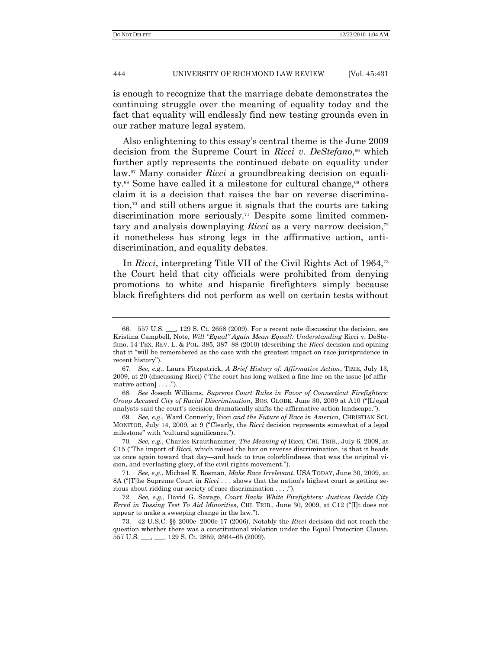is enough to recognize that the marriage debate demonstrates the continuing struggle over the meaning of equality today and the fact that equality will endlessly find new testing grounds even in our rather mature legal system.

Also enlightening to this essay's central theme is the June 2009 decision from the Supreme Court in *Ricci v. DeStefano*, <sup>66</sup> which further aptly represents the continued debate on equality under law.<sup>67</sup> Many consider *Ricci* a groundbreaking decision on equality.<sup>68</sup> Some have called it a milestone for cultural change,<sup>69</sup> others claim it is a decision that raises the bar on reverse discrimination,<sup>70</sup> and still others argue it signals that the courts are taking discrimination more seriously.<sup>71</sup> Despite some limited commentary and analysis downplaying *Ricci* as a very narrow decision,<sup>72</sup> it nonetheless has strong legs in the affirmative action, antidiscrimination, and equality debates.

In *Ricci*, interpreting Title VII of the Civil Rights Act of 1964,<sup>73</sup> the Court held that city officials were prohibited from denying promotions to white and hispanic firefighters simply because black firefighters did not perform as well on certain tests without

<sup>66.</sup> 557 U.S. \_\_\_, 129 S. Ct. 2658 (2009). For a recent note discussing the decision, see Kristina Campbell, Note, *Will "Equal" Again Mean Equal?: Understanding* Ricci v. DeStefano, 14 TEX. REV. L. & POL. 385, 387–88 (2010) (describing the *Ricci* decision and opining that it "will be remembered as the case with the greatest impact on race jurisprudence in recent history").

<sup>67</sup>*. See, e.g*., Laura Fitzpatrick, *A Brief History of: Affirmative Action*, TIME, July 13,  $2009$ , at 20 (discussing Ricci) ("The court has long walked a fine line on the issue [of affirmative action $] \ldots$ .").

<sup>68</sup>*. See* Joseph Williams, *Supreme Court Rules in Favor of Connecticut Firefighters: Group Accused City of Racial Discrimination*, BOS. GLOBE, June 30, 2009 at A10 ("[L]egal analysts said the court's decision dramatically shifts the affirmative action landscape.").

<sup>69</sup>*. See, e.g*., Ward Connerly, Ricci *and the Future of Race in America*, CHRISTIAN SCI. MONITOR, July 14, 2009, at 9 ("Clearly, the *Ricci* decision represents somewhat of a legal milestone" with "cultural significance.").

<sup>70</sup>*. See, e.g.*, Charles Krauthammer, *The Meaning of* Ricci, CHI. TRIB., July 6, 2009, at C15 ("The import of *Ricci*, which raised the bar on reverse discrimination, is that it heads us once again toward that day—and back to true colorblindness that was the original vision, and everlasting glory, of the civil rights movement.").

<sup>71</sup>*. See, e.g.*, Michael E. Rosman, *Make Race Irrelevant*, USA TODAY, June 30, 2009, at 8A ("[T]he Supreme Court in *Ricci* . . . shows that the nation's highest court is getting serious about ridding our society of race discrimination  $\dots$ .").

<sup>72</sup>*. See, e.g.*, David G. Savage, *Court Backs White Firefighters: Justices Decide City Erred in Tossing Test To Aid Minorities*, CHI. TRIB., June 30, 2009, at C12 ("[I]t does not appear to make a sweeping change in the law.").

<sup>73.</sup> 42 U.S.C. §§ 2000e–2000e-17 (2006). Notably the *Ricci* decision did not reach the question whether there was a constitutional violation under the Equal Protection Clause. 557 U.S. \_\_\_, \_\_\_, 129 S. Ct. 2859, 2664–65 (2009).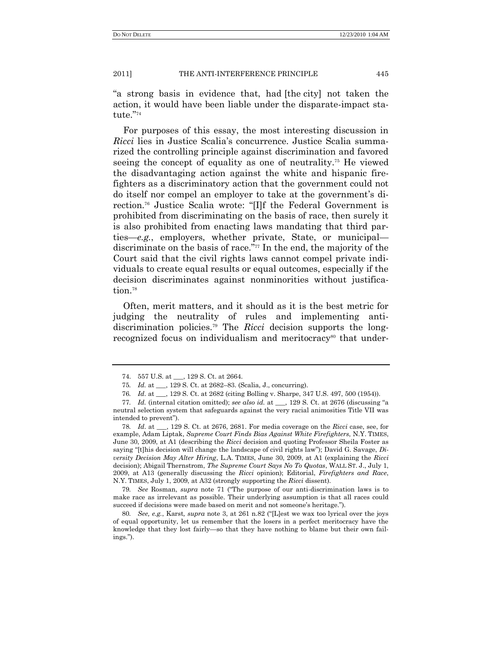―a strong basis in evidence that, had [the city] not taken the action, it would have been liable under the disparate-impact statute."<sup>74</sup>

For purposes of this essay, the most interesting discussion in *Ricci* lies in Justice Scalia's concurrence. Justice Scalia summarized the controlling principle against discrimination and favored seeing the concept of equality as one of neutrality.<sup>75</sup> He viewed the disadvantaging action against the white and hispanic firefighters as a discriminatory action that the government could not do itself nor compel an employer to take at the government's direction.<sup>76</sup> Justice Scalia wrote: "[I]f the Federal Government is prohibited from discriminating on the basis of race, then surely it is also prohibited from enacting laws mandating that third parties—*e.g.*, employers, whether private, State, or municipal discriminate on the basis of race."<sup>77</sup> In the end, the majority of the Court said that the civil rights laws cannot compel private individuals to create equal results or equal outcomes, especially if the decision discriminates against nonminorities without justification.<sup>78</sup>

Often, merit matters, and it should as it is the best metric for judging the neutrality of rules and implementing antidiscrimination policies.<sup>79</sup> The *Ricci* decision supports the longrecognized focus on individualism and meritocracy<sup>80</sup> that under-

78*. Id*. at \_\_\_, 129 S. Ct. at 2676, 2681. For media coverage on the *Ricci* case, see, for example, Adam Liptak, *Supreme Court Finds Bias Against White Firefighters*, N.Y. TIMES, June 30, 2009, at A1 (describing the *Ricci* decision and quoting Professor Sheila Foster as saying "[t]his decision will change the landscape of civil rights law"); David G. Savage, *Diversity Decision May Alter Hiring*, L.A. TIMES, June 30, 2009, at A1 (explaining the *Ricci* decision); Abigail Thernstrom, *The Supreme Court Says No To Quotas*, WALL ST. J., July 1, 2009, at A13 (generally discussing the *Ricci* opinion); Editorial, *Firefighters and Race*, N.Y. TIMES, July 1, 2009, at A32 (strongly supporting the *Ricci* dissent).

79. *See* Rosman, *supra* note 71 ("The purpose of our anti-discrimination laws is to make race as irrelevant as possible. Their underlying assumption is that all races could succeed if decisions were made based on merit and not someone's heritage.").

80. *See, e.g., Karst, supra* note 3, at 261 n.82 ("[L]est we wax too lyrical over the joys of equal opportunity, let us remember that the losers in a perfect meritocracy have the knowledge that they lost fairly—so that they have nothing to blame but their own failings.").

<sup>74. 557</sup> U.S. at \_\_\_, 129 S. Ct. at 2664.

<sup>75</sup>*. Id.* at \_\_\_, 129 S. Ct. at 2682–83. (Scalia, J., concurring).

<sup>76</sup>*. Id*. at \_\_\_, 129 S. Ct. at 2682 (citing Bolling v. Sharpe, 347 U.S. 497, 500 (1954)).

<sup>77.</sup> *Id.* (internal citation omitted); see also id. at \_\_, 129 S. Ct. at 2676 (discussing "a neutral selection system that safeguards against the very racial animosities Title VII was intended to prevent").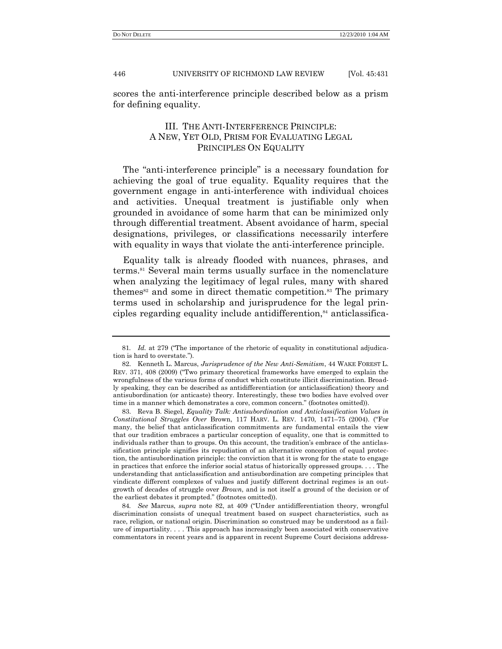scores the anti-interference principle described below as a prism for defining equality.

# III. THE ANTI-INTERFERENCE PRINCIPLE: A NEW, YET OLD, PRISM FOR EVALUATING LEGAL PRINCIPLES ON EQUALITY

The "anti-interference principle" is a necessary foundation for achieving the goal of true equality. Equality requires that the government engage in anti-interference with individual choices and activities. Unequal treatment is justifiable only when grounded in avoidance of some harm that can be minimized only through differential treatment. Absent avoidance of harm, special designations, privileges, or classifications necessarily interfere with equality in ways that violate the anti-interference principle.

Equality talk is already flooded with nuances, phrases, and terms.<sup>81</sup> Several main terms usually surface in the nomenclature when analyzing the legitimacy of legal rules, many with shared themes<sup>82</sup> and some in direct thematic competition.<sup>83</sup> The primary terms used in scholarship and jurisprudence for the legal principles regarding equality include antidifferention, $\frac{84}{3}$  anticlassifica-

83. Reva B. Siegel, *Equality Talk: Antisubordination and Anticlassification Values in Constitutional Struggles Over Brown, 117 HARV. L. REV. 1470, 1471–75 (2004).* ("For many, the belief that anticlassification commitments are fundamental entails the view that our tradition embraces a particular conception of equality, one that is committed to individuals rather than to groups. On this account, the tradition's embrace of the anticlassification principle signifies its repudiation of an alternative conception of equal protection, the antisubordination principle: the conviction that it is wrong for the state to engage in practices that enforce the inferior social status of historically oppressed groups. . . . The understanding that anticlassification and antisubordination are competing principles that vindicate different complexes of values and justify different doctrinal regimes is an outgrowth of decades of struggle over *Brown*, and is not itself a ground of the decision or of the earliest debates it prompted." (footnotes omitted)).

84. See Marcus, *supra* note 82, at 409 ("Under antidifferentiation theory, wrongful discrimination consists of unequal treatment based on suspect characteristics, such as race, religion, or national origin. Discrimination so construed may be understood as a failure of impartiality. . . . This approach has increasingly been associated with conservative commentators in recent years and is apparent in recent Supreme Court decisions address-

<sup>81.</sup> *Id.* at 279 ("The importance of the rhetoric of equality in constitutional adjudication is hard to overstate.").

<sup>82.</sup> Kenneth L. Marcus, *Jurisprudence of the New Anti-Semitism*, 44 WAKE FOREST L. REV. 371, 408 (2009) ("Two primary theoretical frameworks have emerged to explain the wrongfulness of the various forms of conduct which constitute illicit discrimination. Broadly speaking, they can be described as antidifferentiation (or anticlassification) theory and antisubordination (or anticaste) theory. Interestingly, these two bodies have evolved over time in a manner which demonstrates a core, common concern." (footnotes omitted)).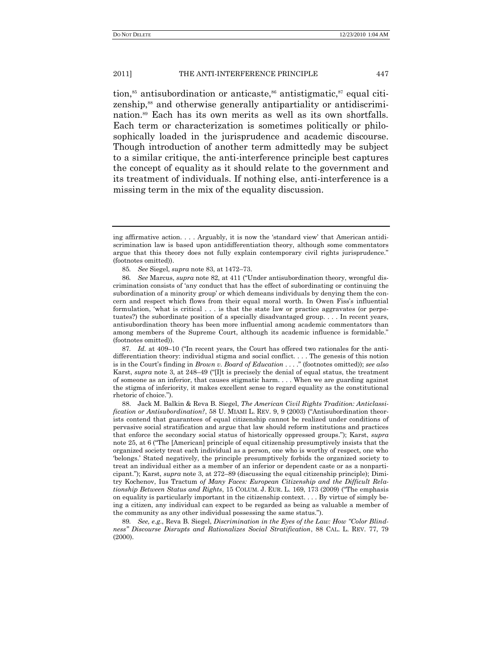tion, $85$  antisubordination or anticaste, $86$  antistigmatic, $87$  equal citizenship,<sup>88</sup> and otherwise generally antipartiality or antidiscrimination.<sup>89</sup> Each has its own merits as well as its own shortfalls. Each term or characterization is sometimes politically or philosophically loaded in the jurisprudence and academic discourse. Though introduction of another term admittedly may be subject to a similar critique, the anti-interference principle best captures the concept of equality as it should relate to the government and its treatment of individuals. If nothing else, anti-interference is a missing term in the mix of the equality discussion.

87. *Id.* at 409–10 ("In recent years, the Court has offered two rationales for the antidifferentiation theory: individual stigma and social conflict. . . . The genesis of this notion is in the Court's finding in *Brown v. Board of Education* . . . . " (footnotes omitted)); *see also* Karst, *supra* note 3, at 248–49 ("IIt is precisely the denial of equal status, the treatment of someone as an inferior, that causes stigmatic harm. . . . When we are guarding against the stigma of inferiority, it makes excellent sense to regard equality as the constitutional rhetoric of choice.").

88. Jack M. Balkin & Reva B. Siegel, *The American Civil Rights Tradition: Anticlassification or Antisubordination?*, 58 U. MIAMI L. REV. 9, 9 (2003) ("Antisubordination theorists contend that guarantees of equal citizenship cannot be realized under conditions of pervasive social stratification and argue that law should reform institutions and practices that enforce the secondary social status of historically oppressed groups.‖); Karst, *supra* note 25, at 6 ("The [American] principle of equal citizenship presumptively insists that the organized society treat each individual as a person, one who is worthy of respect, one who ‗belongs.' Stated negatively, the principle presumptively forbids the organized society to treat an individual either as a member of an inferior or dependent caste or as a nonparticipant.‖); Karst, *supra* note 3, at 272–89 (discussing the equal citizenship principle); Dimitry Kochenov, Ius Tractum *of Many Faces: European Citizenship and the Difficult Relationship Between Status and Rights*, 15 COLUM. J. EUR. L. 169, 173 (2009) ("The emphasis on equality is particularly important in the citizenship context. . . . By virtue of simply being a citizen, any individual can expect to be regarded as being as valuable a member of the community as any other individual possessing the same status.").

89*. See, e.g*., Reva B. Siegel, *Discrimination in the Eyes of the Law: How "Color Blindness" Discourse Disrupts and Rationalizes Social Stratification*, 88 CAL. L. REV. 77, 79 (2000).

ing affirmative action.  $\dots$  . Arguably, it is now the 'standard view' that American antidiscrimination law is based upon antidifferentiation theory, although some commentators argue that this theory does not fully explain contemporary civil rights jurisprudence." (footnotes omitted)).

<sup>85</sup>*. See* Siegel, *supra* note 83, at 1472–73.

<sup>86.</sup> *See Marcus, supra* note 82, at 411 ("Under antisubordination theory, wrongful discrimination consists of ‗any conduct that has the effect of subordinating or continuing the subordination of a minority group' or which demeans individuals by denying them the concern and respect which flows from their equal moral worth. In Owen Fiss's influential formulation, 'what is critical  $\ldots$  is that the state law or practice aggravates (or perpetuates?) the subordinate position of a specially disadvantaged group. . . . In recent years, antisubordination theory has been more influential among academic commentators than among members of the Supreme Court, although its academic influence is formidable." (footnotes omitted)).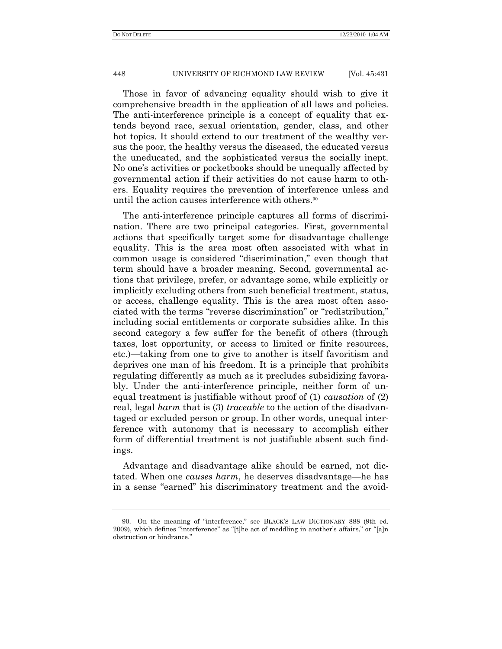Those in favor of advancing equality should wish to give it comprehensive breadth in the application of all laws and policies. The anti-interference principle is a concept of equality that extends beyond race, sexual orientation, gender, class, and other hot topics. It should extend to our treatment of the wealthy versus the poor, the healthy versus the diseased, the educated versus the uneducated, and the sophisticated versus the socially inept. No one's activities or pocketbooks should be unequally affected by governmental action if their activities do not cause harm to others. Equality requires the prevention of interference unless and until the action causes interference with others.<sup>90</sup>

The anti-interference principle captures all forms of discrimination. There are two principal categories. First, governmental actions that specifically target some for disadvantage challenge equality. This is the area most often associated with what in common usage is considered "discrimination," even though that term should have a broader meaning. Second, governmental actions that privilege, prefer, or advantage some, while explicitly or implicitly excluding others from such beneficial treatment, status, or access, challenge equality. This is the area most often associated with the terms "reverse discrimination" or "redistribution," including social entitlements or corporate subsidies alike. In this second category a few suffer for the benefit of others (through taxes, lost opportunity, or access to limited or finite resources, etc.)—taking from one to give to another is itself favoritism and deprives one man of his freedom. It is a principle that prohibits regulating differently as much as it precludes subsidizing favorably. Under the anti-interference principle, neither form of unequal treatment is justifiable without proof of (1) *causation* of (2) real, legal *harm* that is (3) *traceable* to the action of the disadvantaged or excluded person or group. In other words, unequal interference with autonomy that is necessary to accomplish either form of differential treatment is not justifiable absent such findings.

Advantage and disadvantage alike should be earned, not dictated. When one *causes harm*, he deserves disadvantage—he has in a sense "earned" his discriminatory treatment and the avoid-

<sup>90.</sup> On the meaning of "interference," see BLACK'S LAW DICTIONARY 888 (9th ed. 2009), which defines "interference" as "[t]he act of meddling in another's affairs," or "[a]n obstruction or hindrance."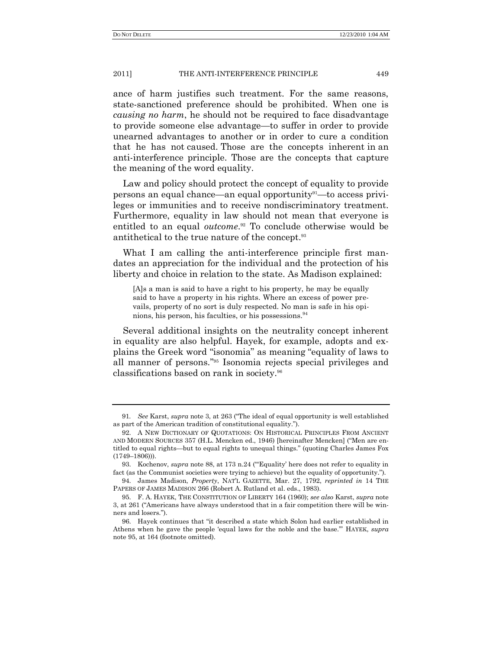ance of harm justifies such treatment. For the same reasons, state-sanctioned preference should be prohibited. When one is *causing no harm*, he should not be required to face disadvantage to provide someone else advantage—to suffer in order to provide unearned advantages to another or in order to cure a condition that he has not caused. Those are the concepts inherent in an anti-interference principle. Those are the concepts that capture the meaning of the word equality.

Law and policy should protect the concept of equality to provide persons an equal chance—an equal opportunity91—to access privileges or immunities and to receive nondiscriminatory treatment. Furthermore, equality in law should not mean that everyone is entitled to an equal *outcome*. <sup>92</sup> To conclude otherwise would be antithetical to the true nature of the concept. 93

What I am calling the anti-interference principle first mandates an appreciation for the individual and the protection of his liberty and choice in relation to the state. As Madison explained:

[A]s a man is said to have a right to his property, he may be equally said to have a property in his rights. Where an excess of power prevails, property of no sort is duly respected. No man is safe in his opinions, his person, his faculties, or his possessions.<sup>94</sup>

Several additional insights on the neutrality concept inherent in equality are also helpful. Hayek, for example, adopts and explains the Greek word "isonomia" as meaning "equality of laws to all manner of persons."<sup>95</sup> Isonomia rejects special privileges and classifications based on rank in society.<sup>96</sup>

<sup>91.</sup> *See Karst, <i>supra* note 3, at 263 ("The ideal of equal opportunity is well established as part of the American tradition of constitutional equality.").

<sup>92.</sup> A NEW DICTIONARY OF QUOTATIONS: ON HISTORICAL PRINCIPLES FROM ANCIENT AND MODERN SOURCES 357 (H.L. Mencken ed., 1946) [hereinafter Mencken] ("Men are entitled to equal rights—but to equal rights to unequal things.‖ (quoting Charles James Fox  $(1749 - 1806)$ ).

<sup>93.</sup> Kochenov, *supra* note 88, at 173 n.24 ("Equality' here does not refer to equality in fact (as the Communist societies were trying to achieve) but the equality of opportunity.").

<sup>94.</sup> James Madison, *Property*, NAT'L GAZETTE, Mar. 27, 1792, *reprinted in* 14 THE PAPERS OF JAMES MADISON 266 (Robert A. Rutland et al. eds., 1983).

<sup>95.</sup> F. A. HAYEK, THE CONSTITUTION OF LIBERTY 164 (1960); *see also* Karst, *supra* note 3, at 261 ("Americans have always understood that in a fair competition there will be winners and losers.").

<sup>96.</sup> Hayek continues that "it described a state which Solon had earlier established in Athens when he gave the people ‗equal laws for the noble and the base.'‖ HAYEK, *supra* note 95, at 164 (footnote omitted).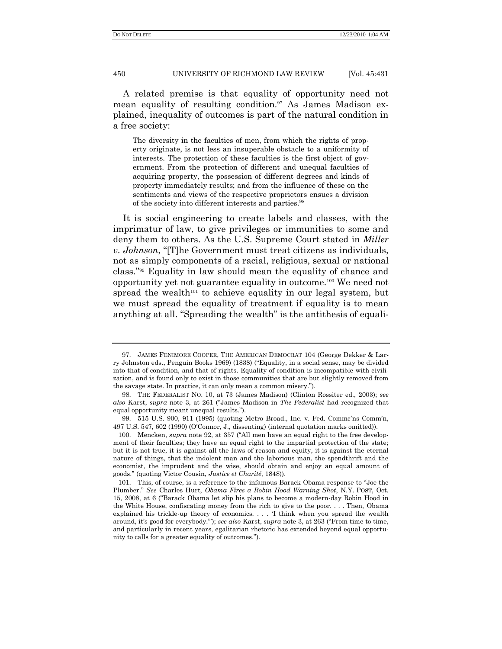A related premise is that equality of opportunity need not mean equality of resulting condition.<sup>97</sup> As James Madison explained, inequality of outcomes is part of the natural condition in a free society:

The diversity in the faculties of men, from which the rights of property originate, is not less an insuperable obstacle to a uniformity of interests. The protection of these faculties is the first object of government. From the protection of different and unequal faculties of acquiring property, the possession of different degrees and kinds of property immediately results; and from the influence of these on the sentiments and views of the respective proprietors ensues a division of the society into different interests and parties.<sup>98</sup>

It is social engineering to create labels and classes, with the imprimatur of law, to give privileges or immunities to some and deny them to others. As the U.S. Supreme Court stated in *Miller v. Johnson*, "[T]he Government must treat citizens as individuals, not as simply components of a racial, religious, sexual or national class.‖ <sup>99</sup> Equality in law should mean the equality of chance and opportunity yet not guarantee equality in outcome.<sup>100</sup> We need not spread the wealth<sup>101</sup> to achieve equality in our legal system, but we must spread the equality of treatment if equality is to mean anything at all. "Spreading the wealth" is the antithesis of equali-

<sup>97.</sup> JAMES FENIMORE COOPER, THE AMERICAN DEMOCRAT 104 (George Dekker & Larry Johnston eds., Penguin Books 1969) (1838) ("Equality, in a social sense, may be divided into that of condition, and that of rights. Equality of condition is incompatible with civilization, and is found only to exist in those communities that are but slightly removed from the savage state. In practice, it can only mean a common misery.").

<sup>98.</sup> THE FEDERALIST NO. 10, at 73 (James Madison) (Clinton Rossiter ed., 2003); *see also* Karst, *supra* note 3, at 261 (―James Madison in *The Federalist* had recognized that equal opportunity meant unequal results.").

<sup>99.</sup> 515 U.S. 900, 911 (1995) (quoting Metro Broad., Inc. v. Fed. Commc'ns Comm'n, 497 U.S. 547, 602 (1990) (O'Connor, J., dissenting) (internal quotation marks omitted)).

<sup>100.</sup> Mencken, *supra* note 92, at 357 ("All men have an equal right to the free development of their faculties; they have an equal right to the impartial protection of the state; but it is not true, it is against all the laws of reason and equity, it is against the eternal nature of things, that the indolent man and the laborious man, the spendthrift and the economist, the imprudent and the wise, should obtain and enjoy an equal amount of goods.‖ (quoting Victor Cousin, *Justice et Charité*, 1848)).

<sup>101.</sup> This, of course, is a reference to the infamous Barack Obama response to "Joe the Plumber.‖ *See* Charles Hurt, *Obama Fires a Robin Hood Warning Shot*, N.Y. POST, Oct. 15, 2008, at 6 ("Barack Obama let slip his plans to become a modern-day Robin Hood in the White House, confiscating money from the rich to give to the poor. . . . Then, Obama explained his trickle-up theory of economics.  $\ldots$   $\vdots$  think when you spread the wealth around, it's good for everybody."); *see also* Karst, *supra* note 3, at 263 ("From time to time, and particularly in recent years, egalitarian rhetoric has extended beyond equal opportunity to calls for a greater equality of outcomes.‖).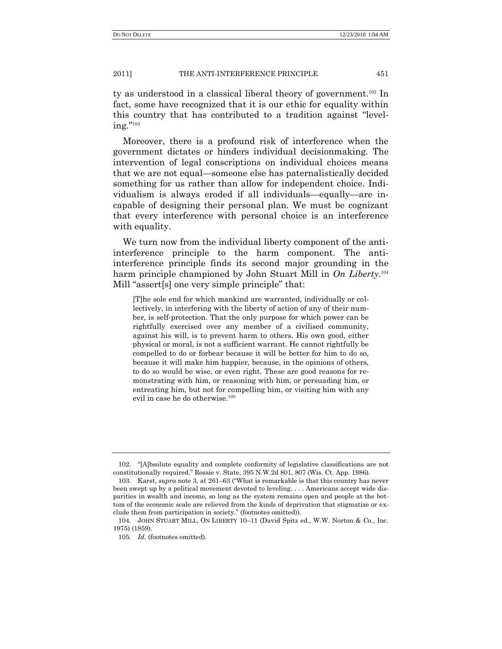ty as understood in a classical liberal theory of government.<sup>102</sup> In fact, some have recognized that it is our ethic for equality within this country that has contributed to a tradition against "level $ing.^{"103}$ 

Moreover, there is a profound risk of interference when the government dictates or hinders individual decisionmaking. The intervention of legal conscriptions on individual choices means that we are not equal—someone else has paternalistically decided something for us rather than allow for independent choice. Individualism is always eroded if all individuals—equally—are incapable of designing their personal plan. We must be cognizant that every interference with personal choice is an interference with equality.

We turn now from the individual liberty component of the antiinterference principle to the harm component. The antiinterference principle finds its second major grounding in the harm principle championed by John Stuart Mill in On Liberty.<sup>104</sup> Mill "assert[s] one very simple principle" that:

[T]he sole end for which mankind are warranted, individually or collectively, in interfering with the liberty of action of any of their number, is self-protection. That the only purpose for which power can be rightfully exercised over any member of a civilised community, against his will, is to prevent harm to others. His own good, either physical or moral, is not a sufficient warrant. He cannot rightfully be compelled to do or forbear because it will be better for him to do so, because it will make him happier, because, in the opinions of others, to do so would be wise, or even right. These are good reasons for remonstrating with him, or reasoning with him, or persuading him, or entreating him, but not for compelling him, or visiting him with any evil in case he do otherwise.<sup>105</sup>

<sup>102. &</sup>quot;[A]bsolute equality and complete conformity of legislative classifications are not constitutionally required." Rossie v. State, 395 N.W.2d 801, 807 (Wis. Ct. App. 1986).

<sup>103.</sup> Karst, *supra* note 3, at 261–63 ("What is remarkable is that this country has never been swept up by a political movement devoted to leveling. . . . Americans accept wide disparities in wealth and income, so long as the system remains open and people at the bottom of the economic scale are relieved from the kinds of deprivation that stigmatize or exclude them from participation in society." (footnotes omitted)).

<sup>104.</sup> JOHN STUART MILL, ON LIBERTY 10–11 (David Spitz ed., W.W. Norton & Co., Inc. 1975) (1859).

<sup>105</sup>*. Id*. (footnotes omitted).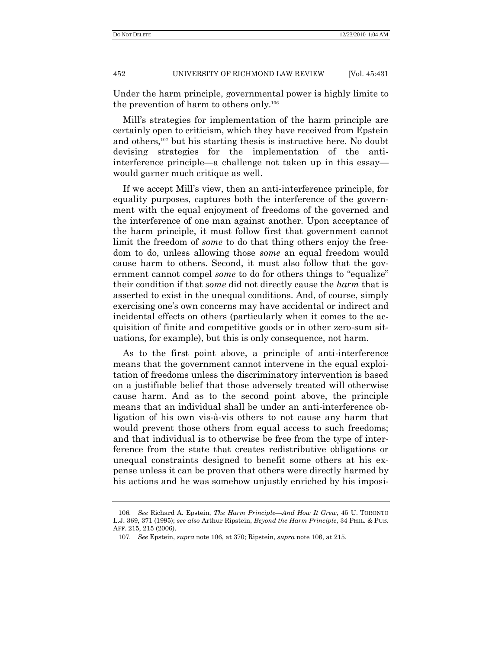Under the harm principle, governmental power is highly limite to the prevention of harm to others only.<sup>106</sup>

Mill's strategies for implementation of the harm principle are certainly open to criticism, which they have received from Epstein and others,<sup>107</sup> but his starting thesis is instructive here. No doubt devising strategies for the implementation of the antiinterference principle—a challenge not taken up in this essay would garner much critique as well.

If we accept Mill's view, then an anti-interference principle, for equality purposes, captures both the interference of the government with the equal enjoyment of freedoms of the governed and the interference of one man against another. Upon acceptance of the harm principle, it must follow first that government cannot limit the freedom of *some* to do that thing others enjoy the freedom to do, unless allowing those *some* an equal freedom would cause harm to others. Second, it must also follow that the government cannot compel *some* to do for others things to "equalize" their condition if that *some* did not directly cause the *harm* that is asserted to exist in the unequal conditions. And, of course, simply exercising one's own concerns may have accidental or indirect and incidental effects on others (particularly when it comes to the acquisition of finite and competitive goods or in other zero-sum situations, for example), but this is only consequence, not harm.

As to the first point above, a principle of anti-interference means that the government cannot intervene in the equal exploitation of freedoms unless the discriminatory intervention is based on a justifiable belief that those adversely treated will otherwise cause harm. And as to the second point above, the principle means that an individual shall be under an anti-interference obligation of his own vis-à-vis others to not cause any harm that would prevent those others from equal access to such freedoms; and that individual is to otherwise be free from the type of interference from the state that creates redistributive obligations or unequal constraints designed to benefit some others at his expense unless it can be proven that others were directly harmed by his actions and he was somehow unjustly enriched by his imposi-

<sup>106</sup>*. See* Richard A. Epstein, *The Harm Principle—And How It Grew*, 45 U. TORONTO L.J. 369, 371 (1995); *see also* Arthur Ripstein, *Beyond the Harm Principle*, 34 PHIL. & PUB. AFF. 215, 215 (2006).

<sup>107</sup>*. See* Epstein, *supra* note 106, at 370; Ripstein, *supra* note 106, at 215.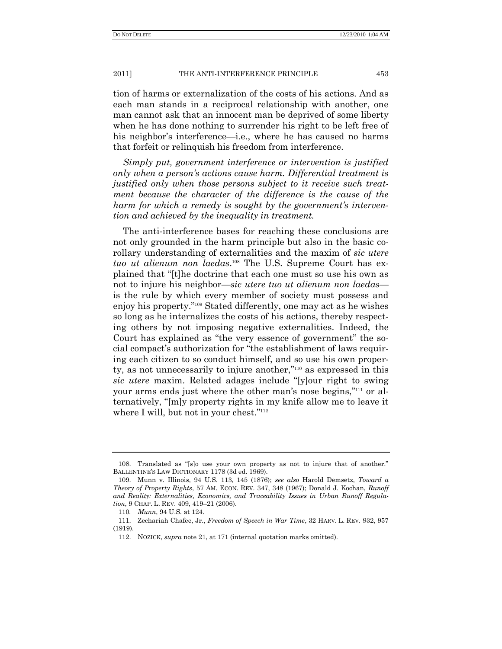tion of harms or externalization of the costs of his actions. And as each man stands in a reciprocal relationship with another, one man cannot ask that an innocent man be deprived of some liberty when he has done nothing to surrender his right to be left free of his neighbor's interference—i.e., where he has caused no harms that forfeit or relinquish his freedom from interference.

*Simply put, government interference or intervention is justified only when a person's actions cause harm. Differential treatment is justified only when those persons subject to it receive such treatment because the character of the difference is the cause of the harm for which a remedy is sought by the government's intervention and achieved by the inequality in treatment.*

The anti-interference bases for reaching these conclusions are not only grounded in the harm principle but also in the basic corollary understanding of externalities and the maxim of *sic utere tuo ut alienum non laedas*. <sup>108</sup> The U.S. Supreme Court has explained that ―[t]he doctrine that each one must so use his own as not to injure his neighbor—*sic utere tuo ut alienum non laedas* is the rule by which every member of society must possess and enjoy his property."<sup>109</sup> Stated differently, one may act as he wishes so long as he internalizes the costs of his actions, thereby respecting others by not imposing negative externalities. Indeed, the Court has explained as "the very essence of government" the social compact's authorization for "the establishment of laws requiring each citizen to so conduct himself, and so use his own property, as not unnecessarily to injure another, $\frac{m_{10}}{m}$  as expressed in this *sic utere* maxim. Related adages include "[y]our right to swing your arms ends just where the other man's nose begins,"<sup>111</sup> or alternatively, "[m]y property rights in my knife allow me to leave it where I will, but not in your chest."<sup>112</sup>

<sup>108.</sup> Translated as "[s]o use your own property as not to injure that of another." BALLENTINE'S LAW DICTIONARY 1178 (3d ed. 1969).

<sup>109.</sup> Munn v. Illinois, 94 U.S. 113, 145 (1876); *see also* Harold Demsetz, *Toward a Theory of Property Rights*, 57 AM. ECON. REV. 347, 348 (1967); Donald J. Kochan, *Runoff and Reality: Externalities, Economics, and Traceability Issues in Urban Runoff Regulation*, 9 CHAP. L. REV. 409, 419–21 (2006).

<sup>110</sup>*. Munn*, 94 U.S. at 124.

<sup>111.</sup> Zechariah Chafee, Jr., *Freedom of Speech in War Time*, 32 HARV. L. REV. 932, 957 (1919).

<sup>112.</sup> NOZICK, *supra* note 21, at 171 (internal quotation marks omitted).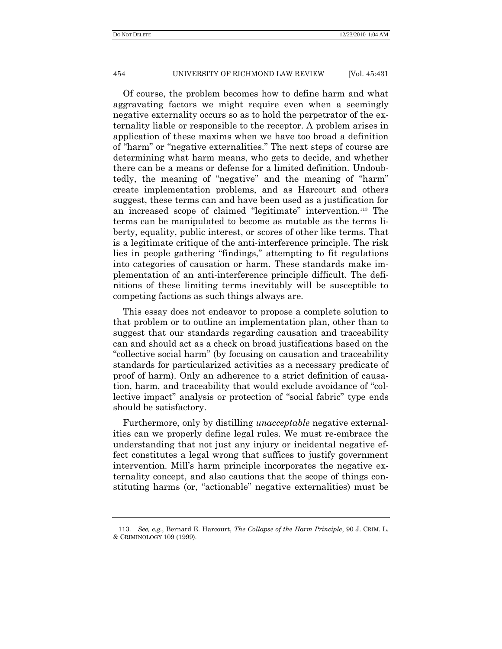Of course, the problem becomes how to define harm and what aggravating factors we might require even when a seemingly negative externality occurs so as to hold the perpetrator of the externality liable or responsible to the receptor. A problem arises in application of these maxims when we have too broad a definition of "harm" or "negative externalities." The next steps of course are determining what harm means, who gets to decide, and whether there can be a means or defense for a limited definition. Undoubtedly, the meaning of "negative" and the meaning of "harm" create implementation problems, and as Harcourt and others suggest, these terms can and have been used as a justification for an increased scope of claimed "legitimate" intervention.<sup>113</sup> The terms can be manipulated to become as mutable as the terms liberty, equality, public interest, or scores of other like terms. That is a legitimate critique of the anti-interference principle. The risk lies in people gathering "findings," attempting to fit regulations into categories of causation or harm. These standards make implementation of an anti-interference principle difficult. The definitions of these limiting terms inevitably will be susceptible to competing factions as such things always are.

This essay does not endeavor to propose a complete solution to that problem or to outline an implementation plan, other than to suggest that our standards regarding causation and traceability can and should act as a check on broad justifications based on the ―collective social harm‖ (by focusing on causation and traceability standards for particularized activities as a necessary predicate of proof of harm). Only an adherence to a strict definition of causation, harm, and traceability that would exclude avoidance of "collective impact" analysis or protection of "social fabric" type ends should be satisfactory.

Furthermore, only by distilling *unacceptable* negative externalities can we properly define legal rules. We must re-embrace the understanding that not just any injury or incidental negative effect constitutes a legal wrong that suffices to justify government intervention. Mill's harm principle incorporates the negative externality concept, and also cautions that the scope of things constituting harms (or, "actionable" negative externalities) must be

<sup>113.</sup> *See, e.g.*, Bernard E. Harcourt, *The Collapse of the Harm Principle*, 90 J. CRIM. L. & CRIMINOLOGY 109 (1999).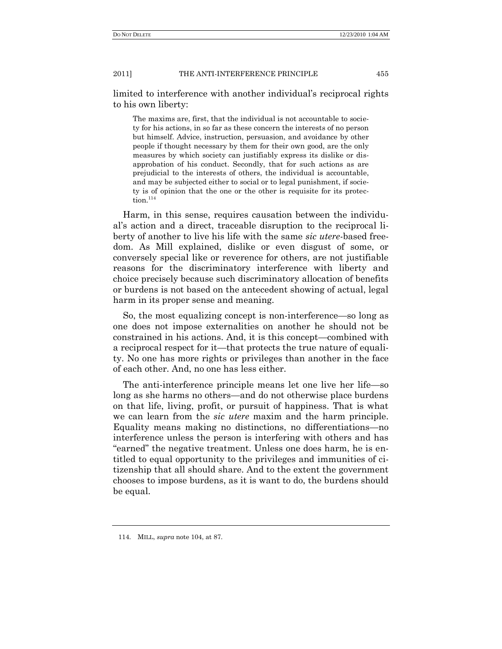limited to interference with another individual's reciprocal rights to his own liberty:

The maxims are, first, that the individual is not accountable to society for his actions, in so far as these concern the interests of no person but himself. Advice, instruction, persuasion, and avoidance by other people if thought necessary by them for their own good, are the only measures by which society can justifiably express its dislike or disapprobation of his conduct. Secondly, that for such actions as are prejudicial to the interests of others, the individual is accountable, and may be subjected either to social or to legal punishment, if society is of opinion that the one or the other is requisite for its protec- ${\rm tion.}^{114}$ 

Harm, in this sense, requires causation between the individual's action and a direct, traceable disruption to the reciprocal liberty of another to live his life with the same *sic utere*-based freedom. As Mill explained, dislike or even disgust of some, or conversely special like or reverence for others, are not justifiable reasons for the discriminatory interference with liberty and choice precisely because such discriminatory allocation of benefits or burdens is not based on the antecedent showing of actual, legal harm in its proper sense and meaning.

So, the most equalizing concept is non-interference—so long as one does not impose externalities on another he should not be constrained in his actions. And, it is this concept—combined with a reciprocal respect for it—that protects the true nature of equality. No one has more rights or privileges than another in the face of each other. And, no one has less either.

The anti-interference principle means let one live her life—so long as she harms no others—and do not otherwise place burdens on that life, living, profit, or pursuit of happiness. That is what we can learn from the *sic utere* maxim and the harm principle. Equality means making no distinctions, no differentiations—no interference unless the person is interfering with others and has "earned" the negative treatment. Unless one does harm, he is entitled to equal opportunity to the privileges and immunities of citizenship that all should share. And to the extent the government chooses to impose burdens, as it is want to do, the burdens should be equal.

<sup>114.</sup> MILL, *supra* note 104, at 87.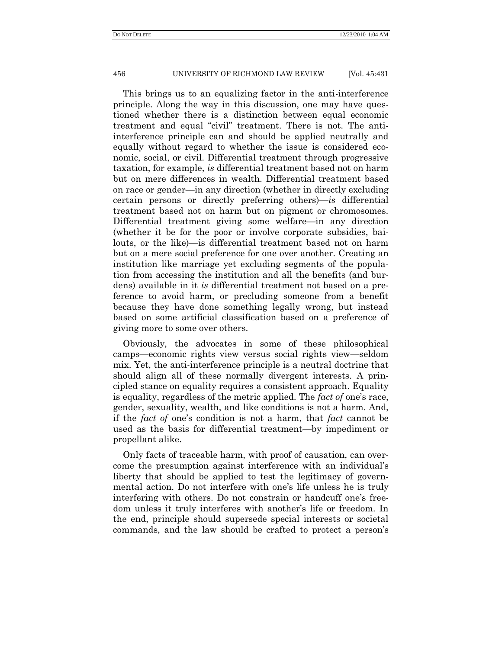This brings us to an equalizing factor in the anti-interference principle. Along the way in this discussion, one may have questioned whether there is a distinction between equal economic treatment and equal "civil" treatment. There is not. The antiinterference principle can and should be applied neutrally and equally without regard to whether the issue is considered economic, social, or civil. Differential treatment through progressive taxation, for example, *is* differential treatment based not on harm but on mere differences in wealth. Differential treatment based on race or gender—in any direction (whether in directly excluding certain persons or directly preferring others)—*is* differential treatment based not on harm but on pigment or chromosomes. Differential treatment giving some welfare—in any direction (whether it be for the poor or involve corporate subsidies, bailouts, or the like)—is differential treatment based not on harm but on a mere social preference for one over another. Creating an institution like marriage yet excluding segments of the population from accessing the institution and all the benefits (and burdens) available in it *is* differential treatment not based on a preference to avoid harm, or precluding someone from a benefit because they have done something legally wrong, but instead based on some artificial classification based on a preference of giving more to some over others.

Obviously, the advocates in some of these philosophical camps—economic rights view versus social rights view—seldom mix. Yet, the anti-interference principle is a neutral doctrine that should align all of these normally divergent interests. A principled stance on equality requires a consistent approach. Equality is equality, regardless of the metric applied. The *fact of* one's race, gender, sexuality, wealth, and like conditions is not a harm. And, if the *fact of* one's condition is not a harm, that *fact* cannot be used as the basis for differential treatment—by impediment or propellant alike.

Only facts of traceable harm, with proof of causation, can overcome the presumption against interference with an individual's liberty that should be applied to test the legitimacy of governmental action. Do not interfere with one's life unless he is truly interfering with others. Do not constrain or handcuff one's freedom unless it truly interferes with another's life or freedom. In the end, principle should supersede special interests or societal commands, and the law should be crafted to protect a person's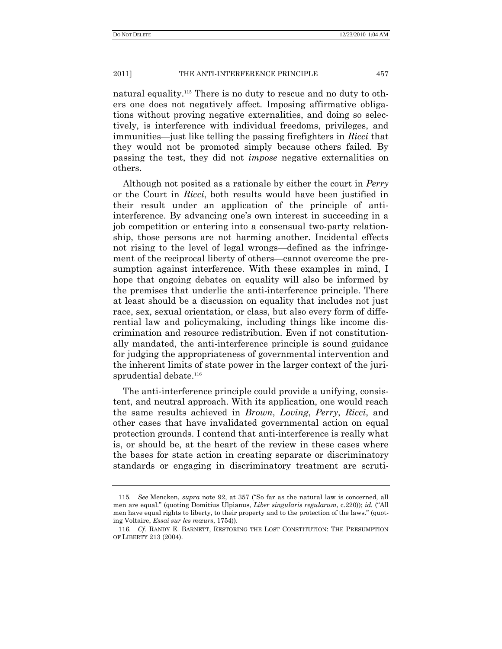natural equality.<sup>115</sup> There is no duty to rescue and no duty to others one does not negatively affect. Imposing affirmative obligations without proving negative externalities, and doing so selectively, is interference with individual freedoms, privileges, and immunities—just like telling the passing firefighters in *Ricci* that they would not be promoted simply because others failed. By passing the test, they did not *impose* negative externalities on others.

Although not posited as a rationale by either the court in *Perry* or the Court in *Ricci*, both results would have been justified in their result under an application of the principle of antiinterference. By advancing one's own interest in succeeding in a job competition or entering into a consensual two-party relationship, those persons are not harming another. Incidental effects not rising to the level of legal wrongs—defined as the infringement of the reciprocal liberty of others—cannot overcome the presumption against interference. With these examples in mind, I hope that ongoing debates on equality will also be informed by the premises that underlie the anti-interference principle. There at least should be a discussion on equality that includes not just race, sex, sexual orientation, or class, but also every form of differential law and policymaking, including things like income discrimination and resource redistribution. Even if not constitutionally mandated, the anti-interference principle is sound guidance for judging the appropriateness of governmental intervention and the inherent limits of state power in the larger context of the jurisprudential debate.<sup>116</sup>

The anti-interference principle could provide a unifying, consistent, and neutral approach. With its application, one would reach the same results achieved in *Brown*, *Loving*, *Perry*, *Ricci*, and other cases that have invalidated governmental action on equal protection grounds. I contend that anti-interference is really what is, or should be, at the heart of the review in these cases where the bases for state action in creating separate or discriminatory standards or engaging in discriminatory treatment are scruti-

<sup>115.</sup> *See* Mencken, *supra* note 92, at 357 ("So far as the natural law is concerned, all men are equal." (quoting Domitius Ulpianus, *Liber singularis regularum*, c.220)); *id.* ("All men have equal rights to liberty, to their property and to the protection of the laws." (quoting Voltaire, *Essai sur les mœurs*, 1754)).

<sup>116</sup>*. Cf.* RANDY E. BARNETT, RESTORING THE LOST CONSTITUTION: THE PRESUMPTION OF LIBERTY 213 (2004).